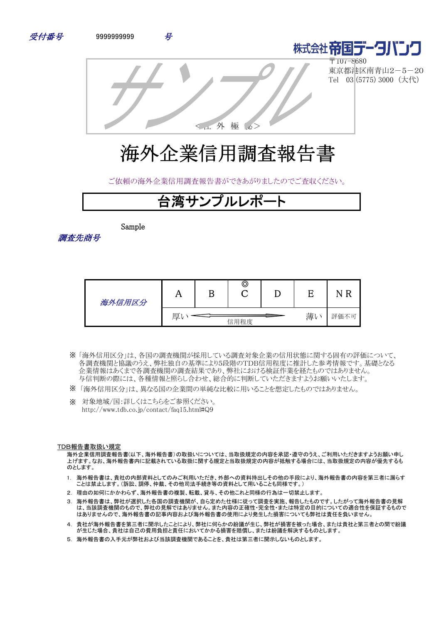



〒107-8680 東京都港区南青山2-5-20 Tel 03 (5775) 3000 (大代)

<社 外 極 秘>

# 海外企業信用調査報告書

ご依頼の海外企業信用調査報告書ができあがりましたのでご査収ください。

## 台湾サンプルレポート

Sample

調査先商号

| 海外信用区分 |                |  | © |  |      |  |
|--------|----------------|--|---|--|------|--|
|        | 薄<br>厚<br>信用程度 |  |   |  | 評価不可 |  |

- 「海外信用区分」は、各国の調査機関が採用している調査対象企業の信用状態に関する固有の評価について、 ※ 各調査機関と協議のうえ、弊社独自の基準により5段階のTDB信用程度に推計した参考情報です。基礎となる 企業情報はあくまで各調査機関の調査結果であり、弊社における検証作業を経たものではありません。 与信判断の際には、各種情報と照らし合わせ、総合的に判断していただきますようお願いいたします。
- ※ 「海外信用区分」は、異なる国の企業間の単純な比較に用いることを想定したものではありません。
- ※ 対象地域/国:詳しくはこちらをご参照ください。 http://www.tdb.co.jp/contact/faq15.html#Q9

#### TDB報告書取扱い規定

海外企業信用調査報告書(以下、海外報告書)の取扱いについては、当取扱規定の内容を承認・遵守のうえ、ご利用いただきますようお願い申し 上げます。なお、海外報告書内に記載されている取扱に関する規定と当取扱規定の内容が抵触する場合には、当取扱規定の内容が優先するも のとします。

- 1. 海外報告書は、貴社の内部資料としてのみご利用いただき、外部への資料持出しその他の手段により、海外報告書の内容を第三者に漏らす ことは禁止します。(訴訟、調停、仲裁、その他司法手続き等の資料として用いることも同様です。)
- 2. 理由の如何にかかわらず、海外報告書の複製、転載、貸与、その他これと同様の行為は一切禁止します。
- 3. 海外報告書は、弊社が選択した各国の調査機関が、自ら定めた仕様に従って調査を実施、報告したものです。したがって海外報告書の見解 は、当該調査機関のもので、弊社の見解ではありません。また内容の正確性・完全性・または特定の目的についての適合性を保証するもので はありませんので、海外報告書の記事内容および海外報告書の使用により発生した損害についても弊社は責任を負いません。
- 4. 貴社が海外報告書を第三者に開示したことにより、弊社に何らかの紛議が生じ、弊社が損害を被った場合、または貴社と第三者との間で紛議 が生じた場合、貴社は自己の費用負担と責任においてかかる損害を賠償し、または紛議を解決するものとします。
- 5. 海外報告書の入手元が弊社および当該調査機関であることを、貴社は第三者に開示しないものとします。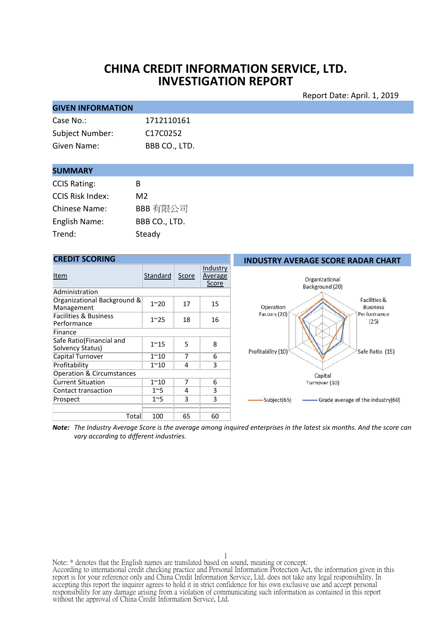## **CHINA CREDIT INFORMATION SERVICE, LTD. INVESTIGATION REPORT**

#### Report Date: April. 1, 2019

| <b>GIVEN INFORMATION</b> |               |
|--------------------------|---------------|
| Case No.:                | 1712110161    |
| Subject Number:          | C17C0252      |
| Given Name:              | BBB CO., LTD. |

#### **SUMMARY**

| <b>CCIS Rating:</b>     | R             |
|-------------------------|---------------|
| <b>CCIS Risk Index:</b> | M2            |
| <b>Chinese Name:</b>    | BBB 有限公司      |
| English Name:           | BBB CO., LTD. |
| Trend:                  | Steady        |

## **CREDIT SCORING**

| Item                                            | Standard     | Score | Industry<br>Average<br>Score |
|-------------------------------------------------|--------------|-------|------------------------------|
| Administration                                  |              |       |                              |
| Organizational Background &<br>Management       | $1^{\sim}20$ | 17    | 15                           |
| <b>Facilities &amp; Business</b><br>Performance | $1^{\sim}25$ | 18    | 16                           |
| Finance                                         |              |       |                              |
| Safe Ratio(Financial and<br>Solvency Status)    | $1^{\sim}15$ | 5     | 8                            |
| Capital Turnover                                | $1^{\sim}10$ | 7     | 6                            |
| Profitability                                   | $1^{\sim}10$ | 4     | 3                            |
| <b>Operation &amp; Circumstances</b>            |              |       |                              |
| <b>Current Situation</b>                        | $1^{\sim}10$ | 7     | 6                            |
| Contact transaction                             | $1^{\sim}5$  | 4     | 3                            |
| Prospect                                        | $1^{\sim}5$  | 3     | 3                            |
|                                                 |              |       |                              |
| Total                                           | 100          | 65    | 60                           |

#### **INDUSTRY AVERAGE SCORE RADAR CHART**



Note: The Industry Average Score is the average among inquired enterprises in the latest six months. And the score can *vary according to different industries.*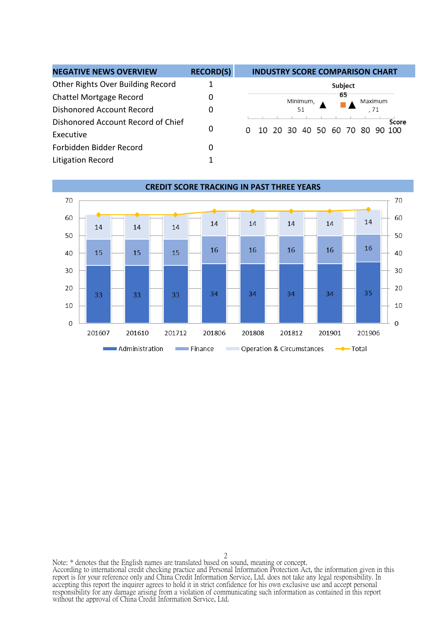| <b>NEGATIVE NEWS OVERVIEW</b>      | <b>RECORD(S)</b> | <b>INDUSTRY SCORE COMPARISON CHART</b> |
|------------------------------------|------------------|----------------------------------------|
| Other Rights Over Building Record  |                  | Subject                                |
| Chattel Mortgage Record            | 0                | 65<br>Minimum.<br>Maximum              |
| Dishonored Account Record          | 0                | . 71<br>51                             |
| Dishonored Account Record of Chief |                  | Score                                  |
| Executive                          | 0                | 10 20 30 40 50 60 70 80 90 100         |
| Forbidden Bidder Record            | 0                |                                        |
| Litigation Record                  |                  |                                        |

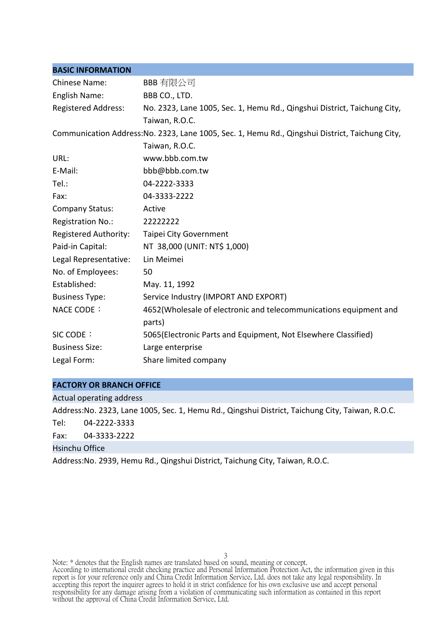| <b>BASIC INFORMATION</b>   |                                                                                                 |
|----------------------------|-------------------------------------------------------------------------------------------------|
| <b>Chinese Name:</b>       | BBB 有限公司                                                                                        |
| English Name:              | BBB CO., LTD.                                                                                   |
| <b>Registered Address:</b> | No. 2323, Lane 1005, Sec. 1, Hemu Rd., Qingshui District, Taichung City,                        |
|                            | Taiwan, R.O.C.                                                                                  |
|                            | Communication Address: No. 2323, Lane 1005, Sec. 1, Hemu Rd., Qingshui District, Taichung City, |
|                            | Taiwan, R.O.C.                                                                                  |
| URL:                       | www.bbb.com.tw                                                                                  |
| E-Mail:                    | bbb@bbb.com.tw                                                                                  |
| Tel.:                      | 04-2222-3333                                                                                    |
| Fax:                       | 04-3333-2222                                                                                    |
| <b>Company Status:</b>     | Active                                                                                          |
| Registration No.:          | 22222222                                                                                        |
| Registered Authority:      | Taipei City Government                                                                          |
| Paid-in Capital:           | NT 38,000 (UNIT: NT\$ 1,000)                                                                    |
| Legal Representative:      | Lin Meimei                                                                                      |
| No. of Employees:          | 50                                                                                              |
| Established:               | May. 11, 1992                                                                                   |
| <b>Business Type:</b>      | Service Industry (IMPORT AND EXPORT)                                                            |
| NACE CODE:                 | 4652 (Wholesale of electronic and telecommunications equipment and<br>parts)                    |
| SIC CODE:                  | 5065(Electronic Parts and Equipment, Not Elsewhere Classified)                                  |
| <b>Business Size:</b>      | Large enterprise                                                                                |
| Legal Form:                | Share limited company                                                                           |

#### **FACTORY OR BRANCH OFFICE**

Actual operating address

Address:No. 2323, Lane 1005, Sec. 1, Hemu Rd., Qingshui District, Taichung City, Taiwan, R.O.C.

Tel: 04-2222-3333

Fax: 04-3333-2222

Hsinchu Office

Address:No. 2939, Hemu Rd., Qingshui District, Taichung City, Taiwan, R.O.C.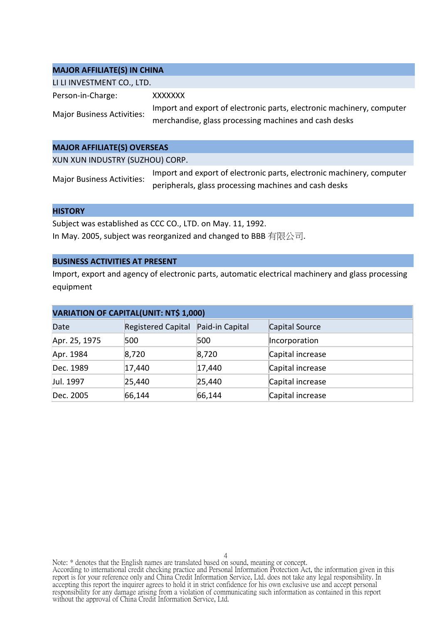#### **MAJOR AFFILIATE(S) IN CHINA**

| LI LI INVESTMENT CO., LTD.        |                                                                                                                                |
|-----------------------------------|--------------------------------------------------------------------------------------------------------------------------------|
| Person-in-Charge:                 | XXXXXXX                                                                                                                        |
| <b>Major Business Activities:</b> | Import and export of electronic parts, electronic machinery, computer<br>merchandise, glass processing machines and cash desks |
|                                   |                                                                                                                                |

#### **MAJOR AFFILIATE(S) OVERSEAS**

XUN XUN INDUSTRY (SUZHOU) CORP.

| <b>Major Business Activities:</b> | Import and export of electronic parts, electronic machinery, computer |
|-----------------------------------|-----------------------------------------------------------------------|
|                                   | peripherals, glass processing machines and cash desks                 |

#### **HISTORY**

Subject was established as CCC CO., LTD. on May. 11, 1992. In May. 2005, subject was reorganized and changed to BBB 有限公司.

#### **BUSINESS ACTIVITIES AT PRESENT**

Import, export and agency of electronic parts, automatic electrical machinery and glass processing equipment

| <b>VARIATION OF CAPITAL(UNIT: NT\$ 1,000)</b> |                           |                 |                  |  |
|-----------------------------------------------|---------------------------|-----------------|------------------|--|
| Date                                          | <b>Registered Capital</b> | Paid-in Capital | Capital Source   |  |
| Apr. 25, 1975                                 | 500                       | 500             | Incorporation    |  |
| Apr. 1984                                     | 8,720                     | 8,720           | Capital increase |  |
| Dec. 1989                                     | 17,440                    | 17,440          | Capital increase |  |
| Jul. 1997                                     | 25,440                    | 25,440          | Capital increase |  |
| Dec. 2005                                     | 66,144                    | 66,144          | Capital increase |  |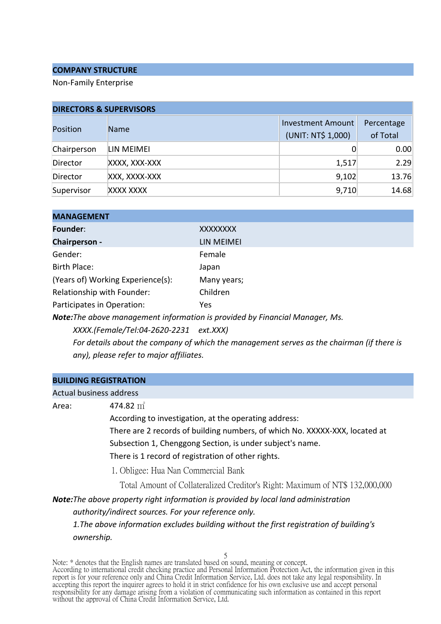#### **COMPANY STRUCTURE**

Non-Family Enterprise

| <b>DIRECTORS &amp; SUPERVISORS</b> |               |                    |            |  |
|------------------------------------|---------------|--------------------|------------|--|
| Position                           | <b>Name</b>   | Investment Amount  | Percentage |  |
|                                    |               | (UNIT: NT\$ 1,000) | of Total   |  |
| Chairperson                        | LIN MEIMEI    | 0                  | 0.00       |  |
| Director                           | XXXX, XXX-XXX | 1,517              | 2.29       |  |
| Director                           | XXX, XXXX-XXX | 9,102              | 13.76      |  |
| Supervisor                         | XXXX XXXX     | 9,710              | 14.68      |  |

| <b>MANAGEMENT</b>                 |                                                                              |
|-----------------------------------|------------------------------------------------------------------------------|
| Founder:                          | XXXXXXXX                                                                     |
| Chairperson -                     | LIN MEIMEI                                                                   |
| Gender:                           | Female                                                                       |
| Birth Place:                      | Japan                                                                        |
| (Years of) Working Experience(s): | Many years;                                                                  |
| Relationship with Founder:        | Children                                                                     |
| Participates in Operation:        | Yes.                                                                         |
|                                   | Note: The above management information is provided by Einancial Manager, Ms. |

*Note:The above management information is provided by Financial Manager, Ms.*

*XXXX.(Female/Tel:04-2620-2231 ext.XXX)*

*For details about the company of which the management serves as the chairman (if there is any), please refer to major affiliates.*

|       | <b>BUILDING REGISTRATION</b>                                                                          |
|-------|-------------------------------------------------------------------------------------------------------|
|       | Actual business address                                                                               |
| Area: | 474.82 m <sup>2</sup>                                                                                 |
|       | According to investigation, at the operating address:                                                 |
|       | There are 2 records of building numbers, of which No. XXXXX-XXX, located at                           |
|       | Subsection 1, Chenggong Section, is under subject's name.                                             |
|       | There is 1 record of registration of other rights.                                                    |
|       | 1. Obligee: Hua Nan Commercial Bank                                                                   |
|       | Total Amount of Collateralized Creditor's Right: Maximum of NT\$ 132,000,000                          |
|       | <b>Note:</b> The above property right information is provided by local land administration            |
|       | authority/indirect sources. For your reference only.                                                  |
|       | 1. The above information excludes building without the first registration of building's<br>ownership. |
|       | 5                                                                                                     |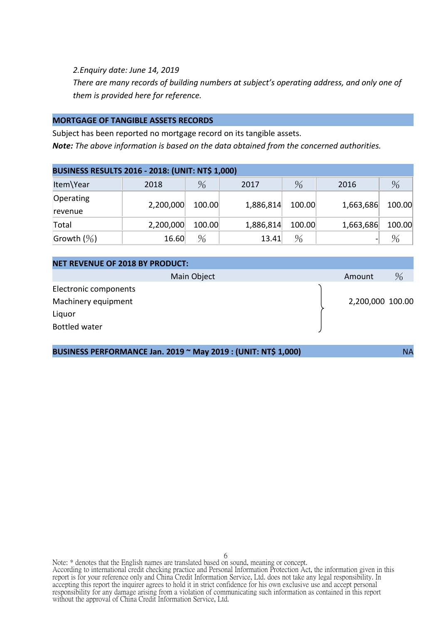*2.Enquiry date: June 14, 2019*

*There are many records of building numbers at subject's operating address, and only one of them is provided here for reference.*

#### **MORTGAGE OF TANGIBLE ASSETS RECORDS**

Subject has been reported no mortgage record on its tangible assets. *Note: The above information is based on the data obtained from the concerned authorities.*

| <b>BUSINESS RESULTS 2016 - 2018: (UNIT: NT\$ 1,000)</b> |           |               |           |               |           |        |  |  |
|---------------------------------------------------------|-----------|---------------|-----------|---------------|-----------|--------|--|--|
| Item\Year                                               | 2018      | $\frac{0}{6}$ | 2017      | $\%$          | 2016      | $\%$   |  |  |
| Operating<br>revenue                                    | 2,200,000 | 100.00        | 1,886,814 | 100.00        | 1,663,686 | 100.00 |  |  |
| Total                                                   | 2,200,000 | 100.00        | 1,886,814 | 100.00        | 1,663,686 | 100.00 |  |  |
| Growth $(\%)$                                           | 16.60     | $\frac{0}{6}$ | 13.41     | $\frac{0}{6}$ |           |        |  |  |

| <b>NET REVENUE OF 2018 BY PRODUCT:</b> |             |                  |      |
|----------------------------------------|-------------|------------------|------|
|                                        | Main Object | Amount           | $\%$ |
| Electronic components                  |             |                  |      |
| Machinery equipment                    |             | 2,200,000 100.00 |      |
| Liquor                                 |             |                  |      |
| <b>Bottled water</b>                   |             |                  |      |
|                                        |             |                  |      |

**BUSINESS PERFORMANCE Jan. 2019 ~ May 2019 : (UNIT: NT\$ 1,000)** NA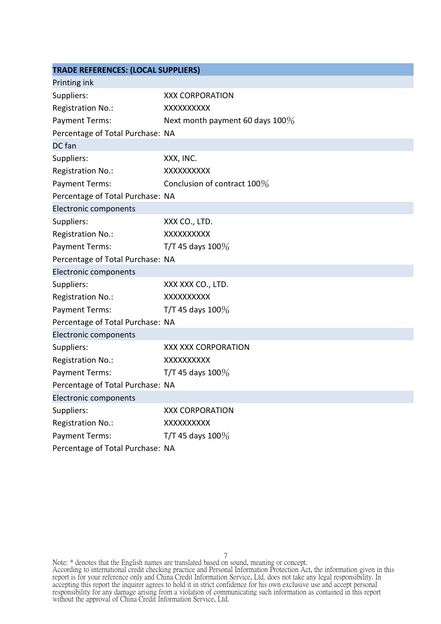| <b>TRADE REFERENCES: (LOCAL SUPPLIERS)</b> |                                    |  |  |  |
|--------------------------------------------|------------------------------------|--|--|--|
| Printing ink                               |                                    |  |  |  |
| Suppliers:                                 | <b>XXX CORPORATION</b>             |  |  |  |
| Registration No.:                          | XXXXXXXXX                          |  |  |  |
| Payment Terms:                             | Next month payment 60 days $100\%$ |  |  |  |
| Percentage of Total Purchase: NA           |                                    |  |  |  |
| DC fan                                     |                                    |  |  |  |
| Suppliers:                                 | XXX, INC.                          |  |  |  |
| Registration No.:                          | XXXXXXXXXX                         |  |  |  |
| Payment Terms:                             | Conclusion of contract 100%        |  |  |  |
| Percentage of Total Purchase: NA           |                                    |  |  |  |
| Electronic components                      |                                    |  |  |  |
| Suppliers:                                 | XXX CO., LTD.                      |  |  |  |
| Registration No.:                          | XXXXXXXXX                          |  |  |  |
| <b>Payment Terms:</b>                      | T/T 45 days $100\%$                |  |  |  |
| Percentage of Total Purchase: NA           |                                    |  |  |  |
| Electronic components                      |                                    |  |  |  |
| Suppliers:                                 | XXX XXX CO., LTD.                  |  |  |  |
| <b>Registration No.:</b>                   | XXXXXXXXX                          |  |  |  |
| <b>Payment Terms:</b>                      | T/T 45 days $100\%$                |  |  |  |
| Percentage of Total Purchase: NA           |                                    |  |  |  |
| Electronic components                      |                                    |  |  |  |
| Suppliers:                                 | <b>XXX XXX CORPORATION</b>         |  |  |  |
| Registration No.:                          | XXXXXXXXX                          |  |  |  |
| <b>Payment Terms:</b>                      | T/T 45 days $100\%$                |  |  |  |
| Percentage of Total Purchase: NA           |                                    |  |  |  |
| Electronic components                      |                                    |  |  |  |
| Suppliers:                                 | <b>XXX CORPORATION</b>             |  |  |  |
| Registration No.:                          | XXXXXXXXX                          |  |  |  |
| <b>Payment Terms:</b>                      | T/T 45 days $100\%$                |  |  |  |
| Percentage of Total Purchase: NA           |                                    |  |  |  |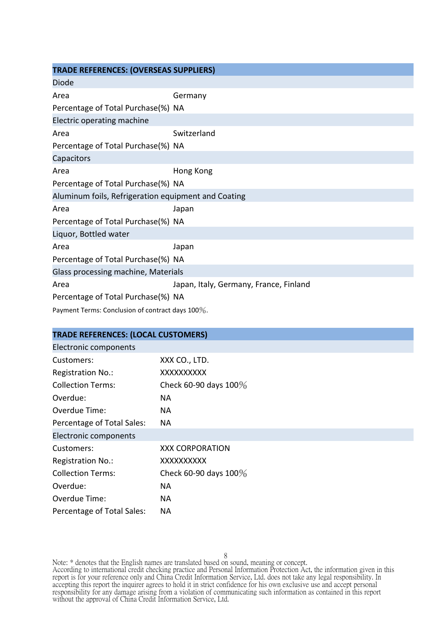| <b>TRADE REFERENCES: (OVERSEAS SUPPLIERS)</b>       |                                        |
|-----------------------------------------------------|----------------------------------------|
| <b>Diode</b>                                        |                                        |
| Area                                                | Germany                                |
| Percentage of Total Purchase(%) NA                  |                                        |
| Electric operating machine                          |                                        |
| Area                                                | Switzerland                            |
| Percentage of Total Purchase(%) NA                  |                                        |
| Capacitors                                          |                                        |
| Area                                                | Hong Kong                              |
| Percentage of Total Purchase(%) NA                  |                                        |
| Aluminum foils, Refrigeration equipment and Coating |                                        |
| Area                                                | Japan                                  |
| Percentage of Total Purchase(%) NA                  |                                        |
| Liquor, Bottled water                               |                                        |
| Area                                                | Japan                                  |
| Percentage of Total Purchase(%) NA                  |                                        |
| Glass processing machine, Materials                 |                                        |
| Area                                                | Japan, Italy, Germany, France, Finland |
| Percentage of Total Purchase(%) NA                  |                                        |
| Payment Terms: Conclusion of contract days 100%.    |                                        |

| <b>TRADE REFERENCES: (LOCAL CUSTOMERS)</b> |                          |  |  |
|--------------------------------------------|--------------------------|--|--|
| Electronic components                      |                          |  |  |
| Customers:                                 | XXX CO., LTD.            |  |  |
| Registration No.:                          | XXXXXXXXX                |  |  |
| <b>Collection Terms:</b>                   | Check 60-90 days $100\%$ |  |  |
| Overdue:                                   | NА                       |  |  |
| Overdue Time:                              | NА                       |  |  |
| Percentage of Total Sales:                 | NА                       |  |  |
| Electronic components                      |                          |  |  |
| Customers:                                 | <b>XXX CORPORATION</b>   |  |  |
| Registration No.:                          | XXXXXXXXXX               |  |  |
| <b>Collection Terms:</b>                   | Check 60-90 days $100\%$ |  |  |
| Overdue:                                   | ΝA                       |  |  |
| Overdue Time:                              | NА                       |  |  |
| Percentage of Total Sales:                 | NA                       |  |  |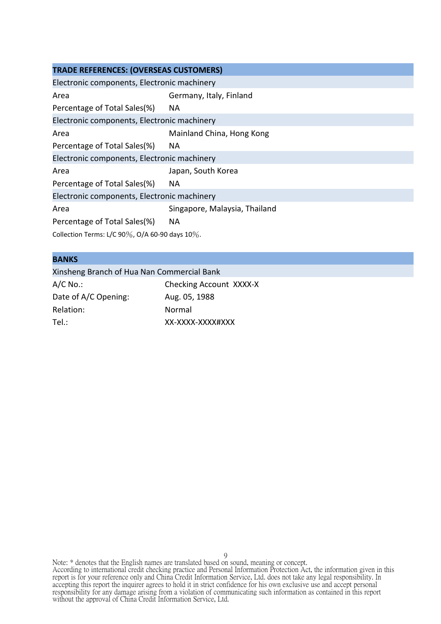#### **TRADE REFERENCES: (OVERSEAS CUSTOMERS)**

| Electronic components, Electronic machinery        |                               |
|----------------------------------------------------|-------------------------------|
| Area                                               | Germany, Italy, Finland       |
| Percentage of Total Sales(%)                       | NA.                           |
| Electronic components, Electronic machinery        |                               |
| Area                                               | Mainland China, Hong Kong     |
| Percentage of Total Sales(%)                       | NA.                           |
| Electronic components, Electronic machinery        |                               |
| Area                                               | Japan, South Korea            |
| Percentage of Total Sales(%)                       | NA.                           |
| Electronic components, Electronic machinery        |                               |
| Area                                               | Singapore, Malaysia, Thailand |
| Percentage of Total Sales(%)                       | NA.                           |
| Collection Terms: L/C 90%, O/A 60-90 days $10\%$ . |                               |

#### **BANKS**

## Xinsheng Branch of Hua Nan Commercial Bank

A/C No.: Checking Account XXXX-X Date of A/C Opening: Aug. 05, 1988 Relation: Normal Tel.: XX-XXXX-XXXX#XXX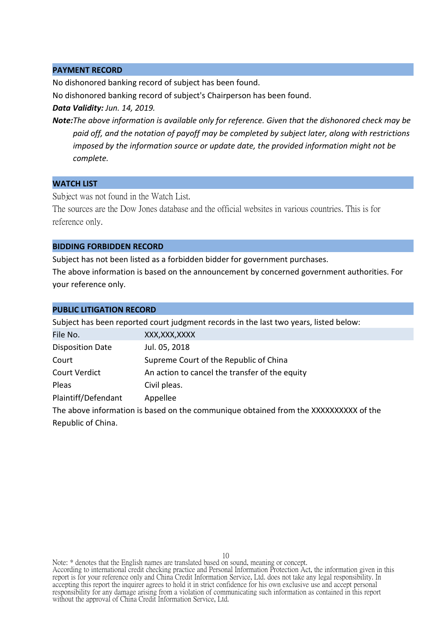#### **PAYMENT RECORD**

No dishonored banking record of subject has been found.

No dishonored banking record of subject's Chairperson has been found.

*Data Validity: Jun. 14, 2019.*

*Note:The above information is available only for reference. Given that the dishonored check may be paid off, and the notation of payoff may be completed by subject later, along with restrictions imposed by the information source or update date, the provided information might not be complete.*

#### **WATCH LIST**

Subject was not found in the Watch List.

The sources are the Dow Jones database and the official websites in various countries. This is for reference only.

#### **BIDDING FORBIDDEN RECORD**

Subject has not been listed as a forbidden bidder for government purchases.

The above information is based on the announcement by concerned government authorities. For your reference only.

| <b>PUBLIC LITIGATION RECORD</b>                                                       |                                                |  |  |
|---------------------------------------------------------------------------------------|------------------------------------------------|--|--|
| Subject has been reported court judgment records in the last two years, listed below: |                                                |  |  |
| File No.                                                                              | XXX, XXX, XXXX                                 |  |  |
| <b>Disposition Date</b>                                                               | Jul. 05, 2018                                  |  |  |
| Court                                                                                 | Supreme Court of the Republic of China         |  |  |
| <b>Court Verdict</b>                                                                  | An action to cancel the transfer of the equity |  |  |
| Pleas                                                                                 | Civil pleas.                                   |  |  |
| Plaintiff/Defendant                                                                   | Appellee                                       |  |  |
|                                                                                       |                                                |  |  |

The above information is based on the communique obtained from the XXXXXXXXXX of the Republic of China.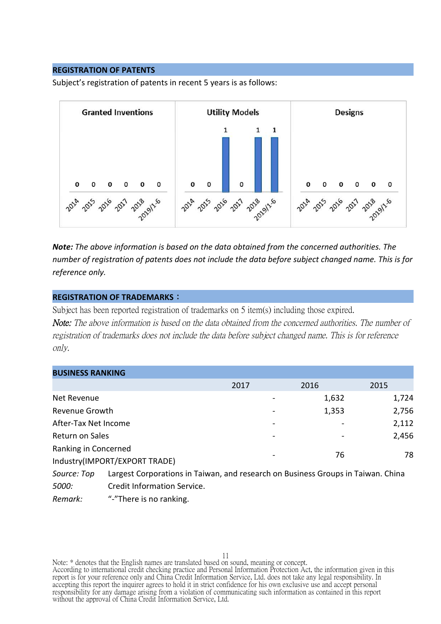#### **REGISTRATION OF PATENTS**

Subject's registration of patents in recent 5 years is as follows:



*Note: The above information is based on the data obtained from the concerned authorities. The number of registration of patents does not include the data before subject changed name. This is for reference only.*

#### **REGISTRATION OF TRADEMARKS**:

Subject has been reported registration of trademarks on 5 item(s) including those expired. Note: The above information is based on the data obtained from the concerned authorities. The number of registration of trademarks does not include the data before subject changed name. This is for reference only.

| <b>BUSINESS RANKING</b>       |                                                                                  |      |  |       |       |
|-------------------------------|----------------------------------------------------------------------------------|------|--|-------|-------|
|                               |                                                                                  | 2017 |  | 2016  | 2015  |
| Net Revenue                   |                                                                                  |      |  | 1,632 | 1,724 |
| Revenue Growth                |                                                                                  |      |  | 1,353 | 2,756 |
| After-Tax Net Income          |                                                                                  |      |  |       | 2,112 |
| Return on Sales               |                                                                                  |      |  |       | 2,456 |
| Ranking in Concerned          |                                                                                  |      |  | 76    | 78    |
| Industry(IMPORT/EXPORT TRADE) |                                                                                  |      |  |       |       |
| Source: Top                   | Largest Corporations in Taiwan, and research on Business Groups in Taiwan. China |      |  |       |       |
| 5000:                         | Credit Information Service.                                                      |      |  |       |       |

*Remark:* "-"There is no ranking.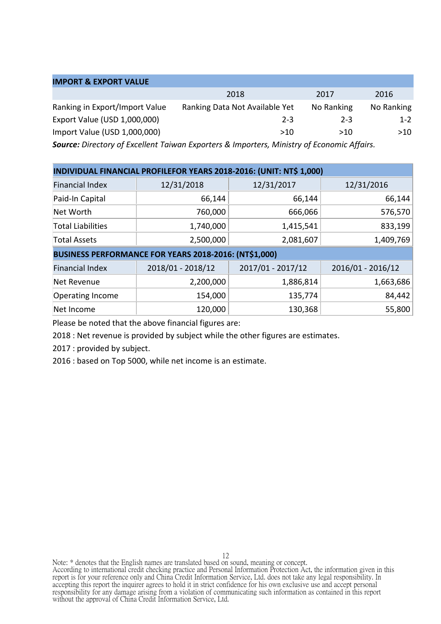#### **IMPORT & EXPORT VALUE**

|                                | 2018                           | 2017       | 2016       |
|--------------------------------|--------------------------------|------------|------------|
| Ranking in Export/Import Value | Ranking Data Not Available Yet | No Ranking | No Ranking |
| Export Value (USD 1,000,000)   | $2 - 3$                        | $2 - 3$    | $1 - 2$    |
| Import Value (USD 1,000,000)   | >10                            | >10        | >10        |

*Source: Directory of Excellent Taiwan Exporters & Importers, Ministry of Economic Affairs.*

| INDIVIDUAL FINANCIAL PROFILEFOR YEARS 2018-2016: (UNIT: NT\$ 1,000) |                                                       |                   |                   |  |  |
|---------------------------------------------------------------------|-------------------------------------------------------|-------------------|-------------------|--|--|
| <b>Financial Index</b>                                              | 12/31/2018                                            | 12/31/2017        | 12/31/2016        |  |  |
| Paid-In Capital                                                     | 66,144                                                | 66,144            | 66,144            |  |  |
| Net Worth                                                           | 760,000                                               | 666,066           | 576,570           |  |  |
| <b>Total Liabilities</b>                                            | 1,740,000                                             | 1,415,541         | 833,199           |  |  |
| <b>Total Assets</b>                                                 | 2,500,000                                             | 2,081,607         | 1,409,769         |  |  |
|                                                                     | BUSINESS PERFORMANCE FOR YEARS 2018-2016: (NT\$1,000) |                   |                   |  |  |
| <b>Financial Index</b>                                              | 2018/01 - 2018/12                                     | 2017/01 - 2017/12 | 2016/01 - 2016/12 |  |  |
| Net Revenue                                                         | 2,200,000                                             | 1,886,814         | 1,663,686         |  |  |
| <b>Operating Income</b>                                             | 154,000                                               | 135,774           | 84,442            |  |  |
| Net Income                                                          | 120,000                                               | 130,368           | 55,800            |  |  |

Please be noted that the above financial figures are:

2018 : Net revenue is provided by subject while the other figures are estimates.

2017 : provided by subject.

2016 : based on Top 5000, while net income is an estimate.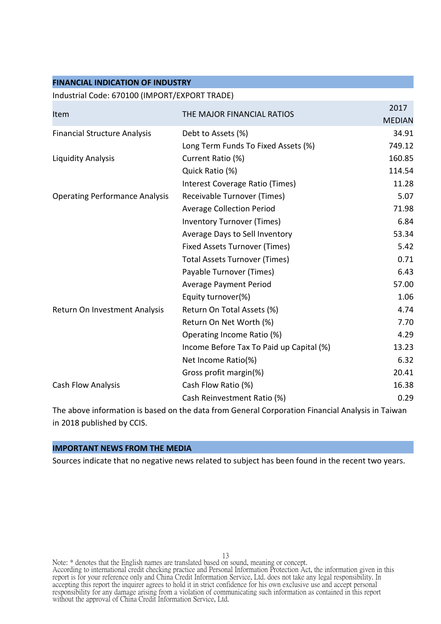#### **FINANCIAL INDICATION OF INDUSTRY**

#### Industrial Code: 670100 (IMPORT/EXPORT TRADE)

| <b>MEDIAN</b> |
|---------------|
|               |
| 34.91         |
| 749.12        |
| 160.85        |
| 114.54        |
| 11.28         |
| 5.07          |
| 71.98         |
| 6.84          |
| 53.34         |
| 5.42          |
| 0.71          |
| 6.43          |
| 57.00         |
| 1.06          |
| 4.74          |
| 7.70          |
| 4.29          |
| 13.23         |
| 6.32          |
| 20.41         |
| 16.38         |
| 0.29          |
|               |

The above information is based on the data from General Corporation Financial Analysis in Taiwan in 2018 published by CCIS.

#### **IMPORTANT NEWS FROM THE MEDIA**

Sources indicate that no negative news related to subject has been found in the recent two years.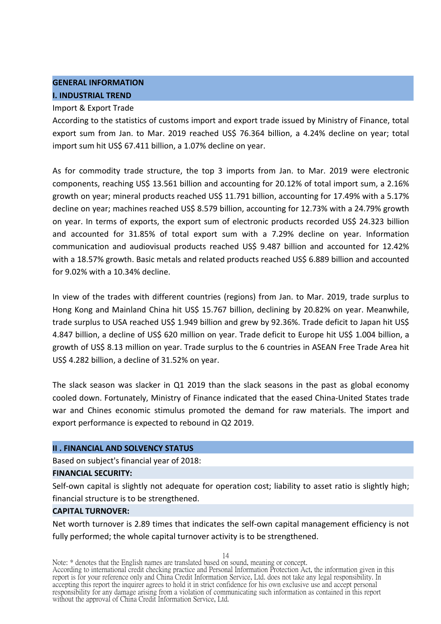### **GENERAL INFORMATION I. INDUSTRIAL TREND**

#### Import & Export Trade

According to the statistics of customs import and export trade issued by Ministry of Finance, total export sum from Jan. to Mar. 2019 reached US\$ 76.364 billion, a 4.24% decline on year; total import sum hit US\$ 67.411 billion, a 1.07% decline on year.

As for commodity trade structure, the top 3 imports from Jan. to Mar. 2019 were electronic components, reaching US\$ 13.561 billion and accounting for 20.12% of total import sum, a 2.16% growth on year; mineral products reached US\$ 11.791 billion, accounting for 17.49% with a 5.17% decline on year; machines reached US\$ 8.579 billion, accounting for 12.73% with a 24.79% growth on year. In terms of exports, the export sum of electronic products recorded US\$ 24.323 billion and accounted for 31.85% of total export sum with a 7.29% decline on year. Information communication and audiovisual products reached US\$ 9.487 billion and accounted for 12.42% with a 18.57% growth. Basic metals and related products reached US\$ 6.889 billion and accounted for 9.02% with a 10.34% decline.

In view of the trades with different countries (regions) from Jan. to Mar. 2019, trade surplus to Hong Kong and Mainland China hit US\$ 15.767 billion, declining by 20.82% on year. Meanwhile, trade surplus to USA reached US\$ 1.949 billion and grew by 92.36%. Trade deficit to Japan hit US\$ 4.847 billion, a decline of US\$ 620 million on year. Trade deficit to Europe hit US\$ 1.004 billion, a growth of US\$ 8.13 million on year. Trade surplus to the 6 countries in ASEAN Free Trade Area hit US\$ 4.282 billion, a decline of 31.52% on year.

The slack season was slacker in Q1 2019 than the slack seasons in the past as global economy cooled down. Fortunately, Ministry of Finance indicated that the eased China-United States trade war and Chines economic stimulus promoted the demand for raw materials. The import and export performance is expected to rebound in Q2 2019.

#### **II . FINANCIAL AND SOLVENCY STATUS**

Based on subject's financial year of 2018:

#### **FINANCIAL SECURITY:**

Self-own capital is slightly not adequate for operation cost; liability to asset ratio is slightly high; financial structure is to be strengthened.

#### **CAPITAL TURNOVER:**

Net worth turnover is 2.89 times that indicates the self-own capital management efficiency is not fully performed; the whole capital turnover activity is to be strengthened.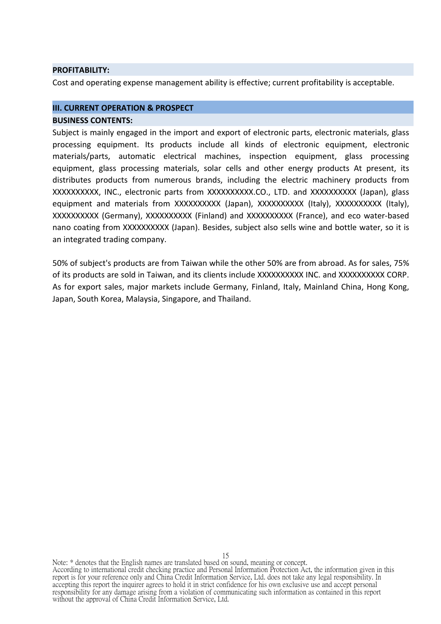#### **PROFITABILITY:**

Cost and operating expense management ability is effective; current profitability is acceptable.

#### **III. CURRENT OPERATION & PROSPECT BUSINESS CONTENTS:**

Subject is mainly engaged in the import and export of electronic parts, electronic materials, glass processing equipment. Its products include all kinds of electronic equipment, electronic materials/parts, automatic electrical machines, inspection equipment, glass processing equipment, glass processing materials, solar cells and other energy products At present, its distributes products from numerous brands, including the electric machinery products from XXXXXXXXXX, INC., electronic parts from XXXXXXXXXX.CO., LTD. and XXXXXXXXXX (Japan), glass equipment and materials from XXXXXXXXXX (Japan), XXXXXXXXXX (Italy), XXXXXXXXXX (Italy), XXXXXXXXXX (Germany), XXXXXXXXXX (Finland) and XXXXXXXXXX (France), and eco water-based nano coating from XXXXXXXXXX (Japan). Besides, subject also sells wine and bottle water, so it is an integrated trading company.

50% of subject's products are from Taiwan while the other 50% are from abroad. As for sales, 75% of its products are sold in Taiwan, and its clients include XXXXXXXXXX INC. and XXXXXXXXXX CORP. As for export sales, major markets include Germany, Finland, Italy, Mainland China, Hong Kong, Japan, South Korea, Malaysia, Singapore, and Thailand.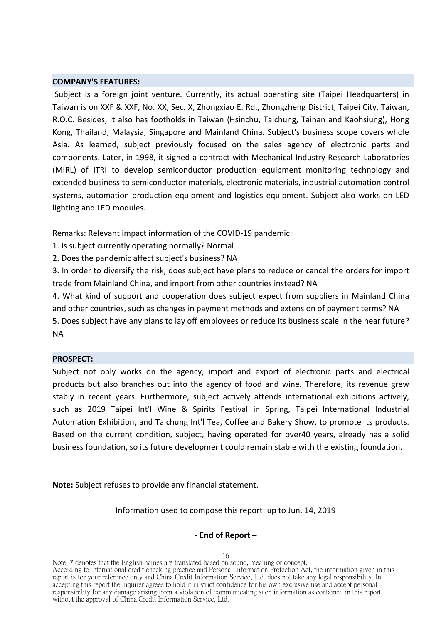#### **COMPANY'S FEATURES:**

Subject is a foreign joint venture. Currently, its actual operating site (Taipei Headquarters) in Taiwan is on XXF & XXF, No. XX, Sec. X, Zhongxiao E. Rd., Zhongzheng District, Taipei City, Taiwan, R.O.C. Besides, it also has footholds in Taiwan (Hsinchu, Taichung, Tainan and Kaohsiung), Hong Kong, Thailand, Malaysia, Singapore and Mainland China. Subject's business scope covers whole Asia. As learned, subject previously focused on the sales agency of electronic parts and components. Later, in 1998, it signed a contract with Mechanical Industry Research Laboratories (MIRL) of ITRI to develop semiconductor production equipment monitoring technology and extended business to semiconductor materials, electronic materials, industrial automation control systems, automation production equipment and logistics equipment. Subject also works on LED lighting and LED modules.

Remarks: Relevant impact information of the COVID-19 pandemic:

1. Is subject currently operating normally? Normal

2. Does the pandemic affect subject's business? NA

3. In order to diversify the risk, does subject have plans to reduce or cancel the orders for import trade from Mainland China, and import from other countries instead? NA

4. What kind of support and cooperation does subject expect from suppliers in Mainland China and other countries, such as changes in payment methods and extension of payment terms? NA 5. Does subject have any plans to lay off employees or reduce its business scale in the near future?

NA

#### **PROSPECT:**

Subject not only works on the agency, import and export of electronic parts and electrical products but also branches out into the agency of food and wine. Therefore, its revenue grew stably in recent years. Furthermore, subject actively attends international exhibitions actively, such as 2019 Taipei Int'l Wine & Spirits Festival in Spring, Taipei International Industrial Automation Exhibition, and Taichung Int'l Tea, Coffee and Bakery Show, to promote its products. Based on the current condition, subject, having operated for over40 years, already has a solid business foundation, so its future development could remain stable with the existing foundation.

**Note:** Subject refuses to provide any financial statement.

Information used to compose this report: up to Jun. 14, 2019

#### **- End of Report –**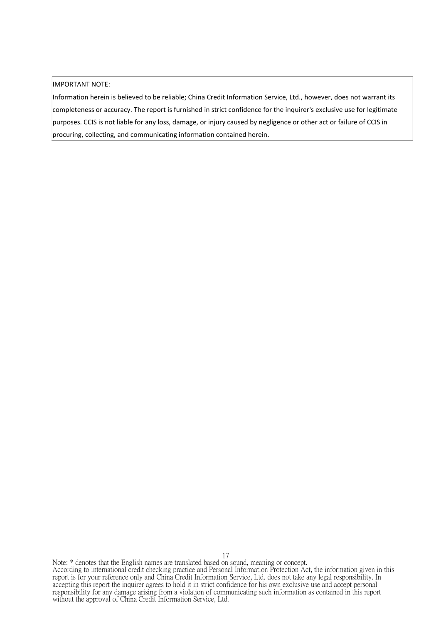#### IMPORTANT NOTE:

Information herein is believed to be reliable; China Credit Information Service, Ltd., however, does not warrant its completeness or accuracy. The report is furnished in strict confidence for the inquirer's exclusive use for legitimate purposes. CCIS is not liable for any loss, damage, or injury caused by negligence or other act or failure of CCIS in procuring, collecting, and communicating information contained herein.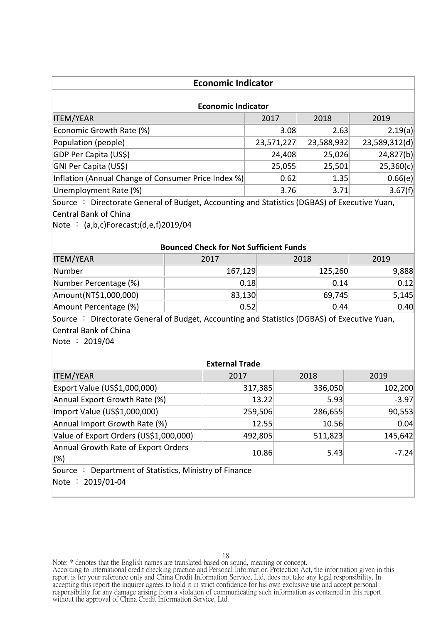| <b>Economic Indicator</b>                                                                   |                                               |              |                  |            |               |  |
|---------------------------------------------------------------------------------------------|-----------------------------------------------|--------------|------------------|------------|---------------|--|
| <b>Economic Indicator</b>                                                                   |                                               |              |                  |            |               |  |
| <b>ITEM/YEAR</b><br>2018<br>2019<br>2017                                                    |                                               |              |                  |            |               |  |
| Economic Growth Rate (%)                                                                    |                                               |              | 3.08             | 2.63       | 2.19(a)       |  |
| Population (people)                                                                         |                                               | 23,571,227   |                  | 23,588,932 | 23,589,312(d) |  |
| GDP Per Capita (US\$)                                                                       |                                               |              | 24,408<br>25,026 |            | 24,827(b)     |  |
| GNI Per Capita (US\$)                                                                       |                                               |              | 25,055           | 25,501     | 25,360(c)     |  |
| Inflation (Annual Change of Consumer Price Index %)                                         |                                               |              | 0.62             | 1.35       | 0.66(e)       |  |
| Unemployment Rate (%)                                                                       |                                               |              | 3.76             | 3.71       | 3.67(f)       |  |
| Source: Directorate General of Budget, Accounting and Statistics (DGBAS) of Executive Yuan, |                                               |              |                  |            |               |  |
| <b>Central Bank of China</b>                                                                |                                               |              |                  |            |               |  |
| Note: $(a,b,c)$ Forecast; $(d,e,f)$ 2019/04                                                 |                                               |              |                  |            |               |  |
|                                                                                             |                                               |              |                  |            |               |  |
|                                                                                             | <b>Bounced Check for Not Sufficient Funds</b> |              |                  |            |               |  |
| <b>ITEM/YEAR</b>                                                                            | 2017                                          | 2019<br>2018 |                  |            |               |  |
| Number                                                                                      | 167,129                                       | 125,260      |                  | 9,888      |               |  |
| Number Percentage (%)                                                                       |                                               | 0.18<br>0.14 |                  | 0.12       |               |  |
| Amount(NT\$1,000,000)                                                                       | 83,130                                        |              |                  | 69,745     | 5,145         |  |
| Amount Percentage (%)                                                                       |                                               | 0.52         |                  | 0.44       | 0.40          |  |
| Source: Directorate General of Budget, Accounting and Statistics (DGBAS) of Executive Yuan, |                                               |              |                  |            |               |  |
| Central Bank of China                                                                       |                                               |              |                  |            |               |  |
| Note : 2019/04                                                                              |                                               |              |                  |            |               |  |
|                                                                                             |                                               |              |                  |            |               |  |
|                                                                                             | <b>External Trade</b>                         |              |                  |            |               |  |
| <b>ITEM/YEAR</b>                                                                            | 2017                                          |              |                  | 2018       | 2019          |  |
| Export Value (US\$1,000,000)                                                                |                                               | 317,385      |                  | 336,050    | 102,200       |  |
| Annual Export Growth Rate (%)                                                               |                                               | 13.22        |                  | 5.93       | $-3.97$       |  |
| Import Value (US\$1,000,000)                                                                |                                               | 259,506      |                  | 286,655    | 90,553        |  |
| Annual Import Growth Rate (%)                                                               |                                               | 12.55        |                  | 10.56      | 0.04          |  |
| Value of Export Orders (US\$1,000,000)                                                      |                                               | 492,805      |                  | 511,823    | 145,642       |  |
| Annual Growth Rate of Export Orders<br>$(\%)$                                               |                                               | 10.86        |                  | 5.43       | $-7.24$       |  |

Source : Department of Statistics, Ministry of Finance Note : 2019/01-04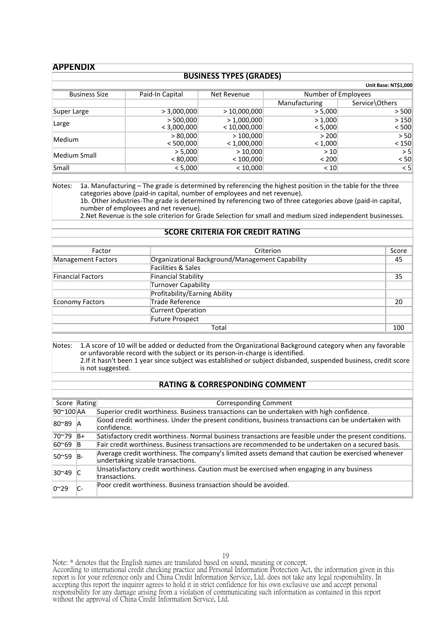#### **APPENDIX**

#### **BUSINESS TYPES (GRADES)**

|                      |                 |              |                     | Unit Base: NT\$1,000 |
|----------------------|-----------------|--------------|---------------------|----------------------|
| <b>Business Size</b> | Paid-In Capital | Net Revenue  | Number of Employees |                      |
|                      |                 |              | Manufacturing       | Service\Others       |
| Super Large          | > 3,000,000     | >10,000,000  | > 5,000             | > 500                |
| Large                | > 500,000       | >1,000,000   | > 1,000             | >150                 |
|                      | < 3,000,000     | < 10,000,000 | < 5,000             | < 500                |
| Medium               | > 80,000        | >100,000     | > 200               | > 50                 |
|                      | < 500,000       | < 1,000,000  | < 1,000             | < 150                |
| Medium Small         | > 5,000         | >10,000      | >10                 | > 5                  |
|                      | < 80,000        | < 100,000    | < 200               | < 50                 |
| Small                | < 5,000         | < 10,000     | < 10                | $\leq 5$             |

Notes: 1a. Manufacturing – The grade is determined by referencing the highest position in the table for the three categories above (paid-in capital, number of employees and net revenue). 1b. Other industries-The grade is determined by referencing two of three categories above (paid-in capital,

number of employees and net revenue).

2.Net Revenue is the sole criterion for Grade Selection for small and medium sized independent businesses.

#### **SCORE CRITERIA FOR CREDIT RATING**

| Factor             | Criterion                                       | Score |
|--------------------|-------------------------------------------------|-------|
| Management Factors | Organizational Background/Management Capability | 45    |
|                    | Facilities & Sales                              |       |
| Financial Factors  | <b>Financial Stability</b>                      | 35    |
|                    | Turnover Capability                             |       |
|                    | Profitability/Earning Ability                   |       |
| Economy Factors    | Trade Reference                                 | 20    |
|                    | Current Operation                               |       |
|                    | Future Prospect                                 |       |
|                    | Total                                           | 100   |

Notes: 1.A score of 10 will be added or deducted from the Organizational Background category when any favorable or unfavorable record with the subject or its person-in-charge is identified. 2.If it hasn't been 1 year since subject was established or subject disbanded, suspended business, credit score is not suggested.

#### **RATING & CORRESPONDING COMMENT**

| Score Rating |       | Corresponding Comment                                                                                                                  |
|--------------|-------|----------------------------------------------------------------------------------------------------------------------------------------|
| 90~100 AA    |       | Superior credit worthiness. Business transactions can be undertaken with high confidence.                                              |
| 180~89 A     |       | Good credit worthiness. Under the present conditions, business transactions can be undertaken with<br>confidence.                      |
| 70~79        | $ B+$ | Satisfactory credit worthiness. Normal business transactions are feasible under the present conditions.                                |
| 60~69        |       | Fair credit worthiness. Business transactions are recommended to be undertaken on a secured basis.                                     |
| 50~59        | IB-   | Average credit worthiness. The company's limited assets demand that caution be exercised whenever<br>undertaking sizable transactions. |
| 30~49        |       | Unsatisfactory credit worthiness. Caution must be exercised when engaging in any business<br>transactions.                             |
| $0^{\sim}29$ | -. ا  | Poor credit worthiness. Business transaction should be avoided.                                                                        |